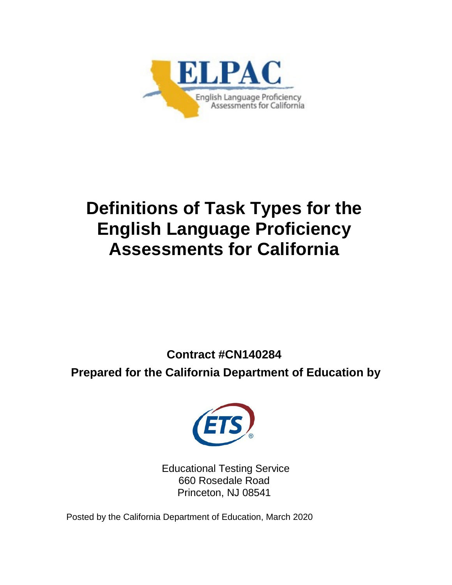

# **Definitions of Task Types for the English Language Proficiency Assessments for California**

**Contract #CN140284**

**Prepared for the California Department of Education by**



Educational Testing Service 660 Rosedale Road Princeton, NJ 08541

Posted by the California Department of Education, March 2020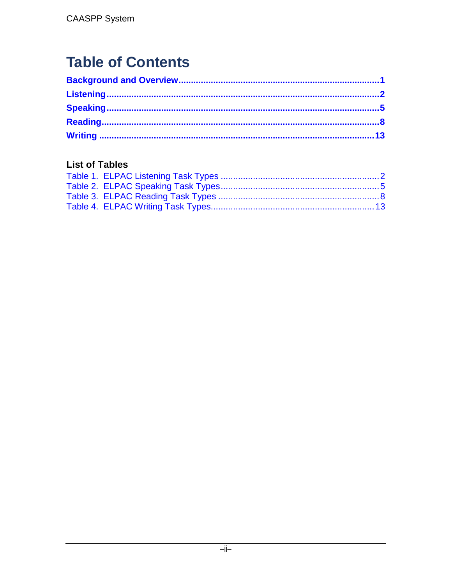## **Table of Contents**

## **List of Tables**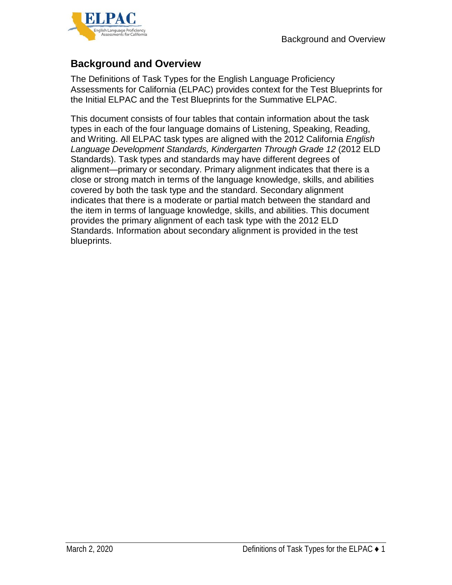

## <span id="page-2-0"></span>**Background and Overview**

The Definitions of Task Types for the English Language Proficiency Assessments for California (ELPAC) provides context for the Test Blueprints for the Initial ELPAC and the Test Blueprints for the Summative ELPAC.

This document consists of four tables that contain information about the task types in each of the four language domains of Listening, Speaking, Reading, and Writing. All ELPAC task types are aligned with the 2012 California *English Language Development Standards, Kindergarten Through Grade 12* (2012 ELD Standards). Task types and standards may have different degrees of alignment—primary or secondary. Primary alignment indicates that there is a close or strong match in terms of the language knowledge, skills, and abilities covered by both the task type and the standard. Secondary alignment indicates that there is a moderate or partial match between the standard and the item in terms of language knowledge, skills, and abilities. This document provides the primary alignment of each task type with the 2012 ELD Standards. Information about secondary alignment is provided in the test blueprints.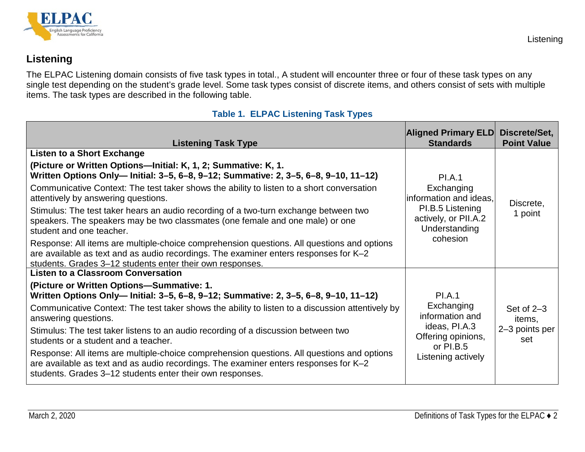

## **Listening**

The ELPAC Listening domain consists of five task types in total., A student will encounter three or four of these task types on any single test depending on the student's grade level. Some task types consist of discrete items, and others consist of sets with multiple items. The task types are described in the following table.

<span id="page-3-2"></span><span id="page-3-1"></span><span id="page-3-0"></span>

| <b>Listening Task Type</b>                                                                                                                                                                                                                                                                                                                                                                                                                                                                                                                                                                                                                   | <b>Aligned Primary ELD</b><br><b>Standards</b>                                                                                 | Discrete/Set,<br><b>Point Value</b>             |
|----------------------------------------------------------------------------------------------------------------------------------------------------------------------------------------------------------------------------------------------------------------------------------------------------------------------------------------------------------------------------------------------------------------------------------------------------------------------------------------------------------------------------------------------------------------------------------------------------------------------------------------------|--------------------------------------------------------------------------------------------------------------------------------|-------------------------------------------------|
| <b>Listen to a Short Exchange</b><br>(Picture or Written Options-Initial: K, 1, 2; Summative: K, 1.<br>Written Options Only-lnitial: 3-5, 6-8, 9-12; Summative: 2, 3-5, 6-8, 9-10, 11-12)                                                                                                                                                                                                                                                                                                                                                                                                                                                    |                                                                                                                                |                                                 |
| Communicative Context: The test taker shows the ability to listen to a short conversation<br>attentively by answering questions.<br>Stimulus: The test taker hears an audio recording of a two-turn exchange between two<br>speakers. The speakers may be two classmates (one female and one male) or one<br>student and one teacher.                                                                                                                                                                                                                                                                                                        | <b>PI.A.1</b><br>Exchanging<br>information and ideas.<br>PI.B.5 Listening<br>actively, or PII.A.2<br>Understanding<br>cohesion | Discrete,<br>1 point                            |
| Response: All items are multiple-choice comprehension questions. All questions and options<br>are available as text and as audio recordings. The examiner enters responses for K-2<br>students. Grades 3-12 students enter their own responses.<br><b>Listen to a Classroom Conversation</b>                                                                                                                                                                                                                                                                                                                                                 |                                                                                                                                |                                                 |
| (Picture or Written Options-Summative: 1.<br>Written Options Only-lnitial: 3-5, 6-8, 9-12; Summative: 2, 3-5, 6-8, 9-10, 11-12)<br>Communicative Context: The test taker shows the ability to listen to a discussion attentively by<br>answering questions.<br>Stimulus: The test taker listens to an audio recording of a discussion between two<br>students or a student and a teacher.<br>Response: All items are multiple-choice comprehension questions. All questions and options<br>are available as text and as audio recordings. The examiner enters responses for K-2<br>students. Grades 3-12 students enter their own responses. | <b>PI.A.1</b><br>Exchanging<br>information and<br>ideas, PI.A.3<br>Offering opinions,<br>or PI.B.5<br>Listening actively       | Set of $2-3$<br>items,<br>2-3 points per<br>set |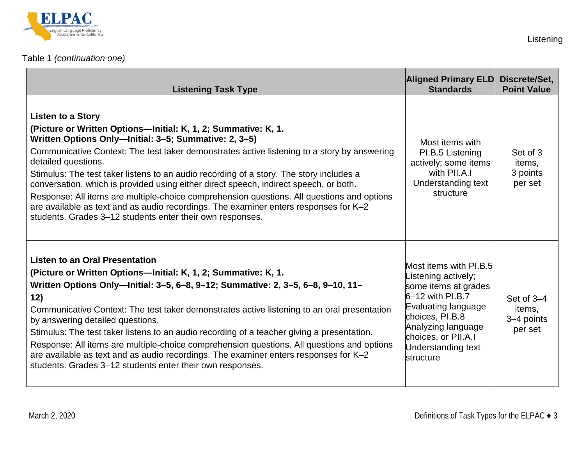

| <b>Listening Task Type</b>                                                                                                                                                                                                                                                                                                                                                                                                                                                                                                                                                                                                                                                                                       | <b>Aligned Primary ELD</b><br><b>Standards</b>                                                                                                                                                                        | Discrete/Set,<br><b>Point Value</b>           |
|------------------------------------------------------------------------------------------------------------------------------------------------------------------------------------------------------------------------------------------------------------------------------------------------------------------------------------------------------------------------------------------------------------------------------------------------------------------------------------------------------------------------------------------------------------------------------------------------------------------------------------------------------------------------------------------------------------------|-----------------------------------------------------------------------------------------------------------------------------------------------------------------------------------------------------------------------|-----------------------------------------------|
| <b>Listen to a Story</b><br>(Picture or Written Options-Initial: K, 1, 2; Summative: K, 1.<br>Written Options Only-Initial: 3-5; Summative: 2, 3-5)<br>Communicative Context: The test taker demonstrates active listening to a story by answering<br>detailed questions.<br>Stimulus: The test taker listens to an audio recording of a story. The story includes a<br>conversation, which is provided using either direct speech, indirect speech, or both.<br>Response: All items are multiple-choice comprehension questions. All questions and options<br>are available as text and as audio recordings. The examiner enters responses for K-2<br>students. Grades 3-12 students enter their own responses. | Most items with<br>PI.B.5 Listening<br>actively; some items<br>with PII.A.I<br>Understanding text<br>structure                                                                                                        | Set of 3<br>items,<br>3 points<br>per set     |
| <b>Listen to an Oral Presentation</b><br>(Picture or Written Options-Initial: K, 1, 2; Summative: K, 1.<br>Written Options Only--lnitial: 3-5, 6-8, 9-12; Summative: 2, 3-5, 6-8, 9-10, 11-<br>12)<br>Communicative Context: The test taker demonstrates active listening to an oral presentation<br>by answering detailed questions.<br>Stimulus: The test taker listens to an audio recording of a teacher giving a presentation.<br>Response: All items are multiple-choice comprehension questions. All questions and options<br>are available as text and as audio recordings. The examiner enters responses for K-2<br>students. Grades 3-12 students enter their own responses.                           | Most items with PI.B.5<br>Listening actively;<br>some items at grades<br>$6-12$ with PI.B.7<br>Evaluating language<br>choices, PI.B.8<br>Analyzing language<br>choices, or PII.A.I<br>Understanding text<br>structure | Set of 3-4<br>items,<br>3-4 points<br>per set |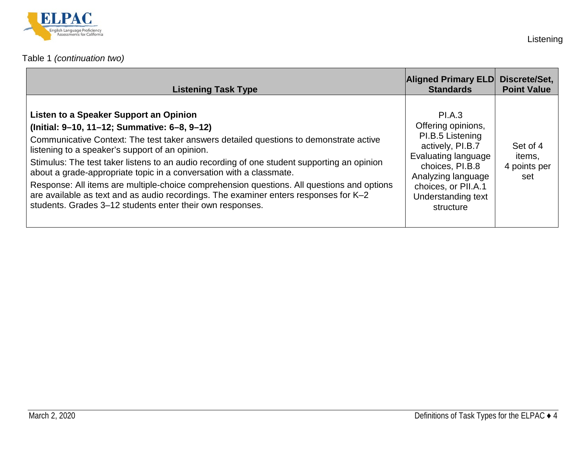

| <b>Listening Task Type</b>                                                                                                                                                                                                                                                                                                                                                                                                                                                                                                                                                                                                                                   | <b>Aligned Primary ELD</b><br><b>Standards</b>                                                                                                                                                 | Discrete/Set,<br><b>Point Value</b>       |
|--------------------------------------------------------------------------------------------------------------------------------------------------------------------------------------------------------------------------------------------------------------------------------------------------------------------------------------------------------------------------------------------------------------------------------------------------------------------------------------------------------------------------------------------------------------------------------------------------------------------------------------------------------------|------------------------------------------------------------------------------------------------------------------------------------------------------------------------------------------------|-------------------------------------------|
| Listen to a Speaker Support an Opinion<br>(Initial: 9-10, 11-12; Summative: 6-8, 9-12)<br>Communicative Context: The test taker answers detailed questions to demonstrate active<br>listening to a speaker's support of an opinion.<br>Stimulus: The test taker listens to an audio recording of one student supporting an opinion<br>about a grade-appropriate topic in a conversation with a classmate.<br>Response: All items are multiple-choice comprehension questions. All questions and options<br>are available as text and as audio recordings. The examiner enters responses for K-2<br>students. Grades 3-12 students enter their own responses. | PI.A.3<br>Offering opinions,<br>PI.B.5 Listening<br>actively, PI.B.7<br>Evaluating language<br>choices, PI.B.8<br>Analyzing language<br>choices, or PII.A.1<br>Understanding text<br>structure | Set of 4<br>items,<br>4 points per<br>set |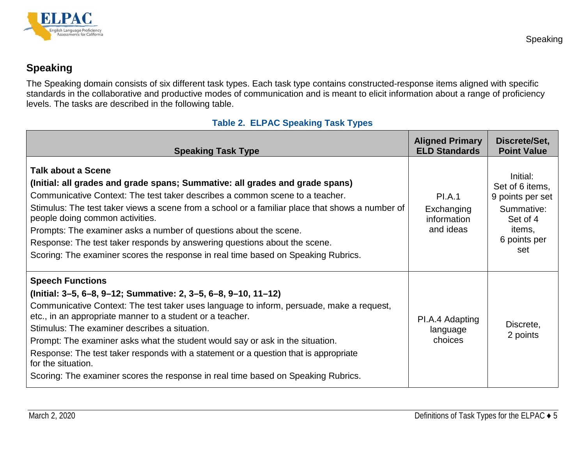

## **Speaking**

The Speaking domain consists of six different task types. Each task type contains constructed-response items aligned with specific standards in the collaborative and productive modes of communication and is meant to elicit information about a range of proficiency levels. The tasks are described in the following table.

#### **Table 2. ELPAC Speaking Task Types**

<span id="page-6-2"></span><span id="page-6-1"></span><span id="page-6-0"></span>

| <b>Speaking Task Type</b>                                                                                                                                                                                                                                                                                                                                                                                                                                                                                                                                                               | <b>Aligned Primary</b><br><b>ELD Standards</b>          | Discrete/Set,<br><b>Point Value</b>                                                                        |
|-----------------------------------------------------------------------------------------------------------------------------------------------------------------------------------------------------------------------------------------------------------------------------------------------------------------------------------------------------------------------------------------------------------------------------------------------------------------------------------------------------------------------------------------------------------------------------------------|---------------------------------------------------------|------------------------------------------------------------------------------------------------------------|
| <b>Talk about a Scene</b><br>(Initial: all grades and grade spans; Summative: all grades and grade spans)<br>Communicative Context: The test taker describes a common scene to a teacher.<br>Stimulus: The test taker views a scene from a school or a familiar place that shows a number of<br>people doing common activities.<br>Prompts: The examiner asks a number of questions about the scene.<br>Response: The test taker responds by answering questions about the scene.<br>Scoring: The examiner scores the response in real time based on Speaking Rubrics.                  | <b>PI.A.1</b><br>Exchanging<br>information<br>and ideas | Initial:<br>Set of 6 items,<br>9 points per set<br>Summative:<br>Set of 4<br>items,<br>6 points per<br>set |
| <b>Speech Functions</b><br>(Initial: 3-5, 6-8, 9-12; Summative: 2, 3-5, 6-8, 9-10, 11-12)<br>Communicative Context: The test taker uses language to inform, persuade, make a request,<br>etc., in an appropriate manner to a student or a teacher.<br>Stimulus: The examiner describes a situation.<br>Prompt: The examiner asks what the student would say or ask in the situation.<br>Response: The test taker responds with a statement or a question that is appropriate<br>for the situation.<br>Scoring: The examiner scores the response in real time based on Speaking Rubrics. | PI.A.4 Adapting<br>language<br>choices                  | Discrete,<br>2 points                                                                                      |

Speaking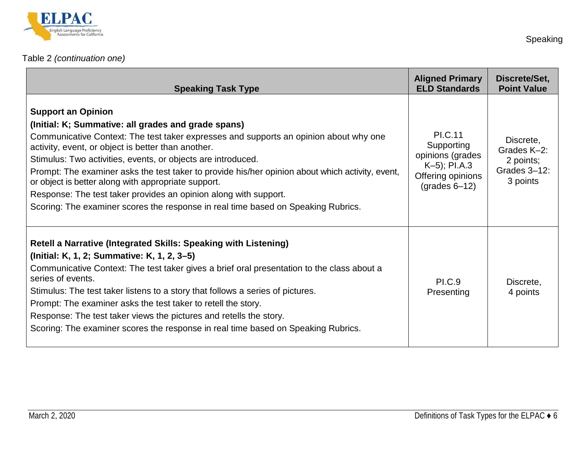

| <b>Speaking Task Type</b>                                                                                                                                                                                                                                                                                                                                                                                                                                                                                                                                                                                           | <b>Aligned Primary</b><br><b>ELD Standards</b>                                                                                    | Discrete/Set,<br><b>Point Value</b>                               |
|---------------------------------------------------------------------------------------------------------------------------------------------------------------------------------------------------------------------------------------------------------------------------------------------------------------------------------------------------------------------------------------------------------------------------------------------------------------------------------------------------------------------------------------------------------------------------------------------------------------------|-----------------------------------------------------------------------------------------------------------------------------------|-------------------------------------------------------------------|
| <b>Support an Opinion</b><br>(Initial: K; Summative: all grades and grade spans)<br>Communicative Context: The test taker expresses and supports an opinion about why one<br>activity, event, or object is better than another.<br>Stimulus: Two activities, events, or objects are introduced.<br>Prompt: The examiner asks the test taker to provide his/her opinion about which activity, event,<br>or object is better along with appropriate support.<br>Response: The test taker provides an opinion along with support.<br>Scoring: The examiner scores the response in real time based on Speaking Rubrics. | <b>PI.C.11</b><br>Supporting<br>opinions (grades<br>$K-5$ ; PI.A.3<br>Offering opinions<br>$\left( \text{grades } 6 - 12 \right)$ | Discrete,<br>Grades K-2:<br>2 points;<br>Grades 3-12:<br>3 points |
| Retell a Narrative (Integrated Skills: Speaking with Listening)<br>(Initial: K, 1, 2; Summative: K, 1, 2, 3–5)<br>Communicative Context: The test taker gives a brief oral presentation to the class about a<br>series of events.<br>Stimulus: The test taker listens to a story that follows a series of pictures.<br>Prompt: The examiner asks the test taker to retell the story.<br>Response: The test taker views the pictures and retells the story.<br>Scoring: The examiner scores the response in real time based on Speaking Rubrics.                                                                     | <b>PI.C.9</b><br>Presenting                                                                                                       | Discrete,<br>4 points                                             |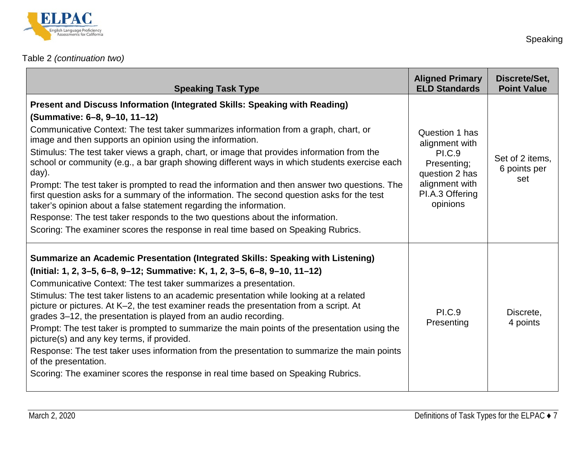

## [Table 2](#page-6-2) *(continuation two)*

| <b>Speaking Task Type</b>                                                                                                                                                                                                                                                                                                                                                                                                                                                                                                                                                                                                                                                                                                                                                                                                                                                                                            | <b>Aligned Primary</b><br><b>ELD Standards</b>                                                                                      | Discrete/Set,<br><b>Point Value</b>    |
|----------------------------------------------------------------------------------------------------------------------------------------------------------------------------------------------------------------------------------------------------------------------------------------------------------------------------------------------------------------------------------------------------------------------------------------------------------------------------------------------------------------------------------------------------------------------------------------------------------------------------------------------------------------------------------------------------------------------------------------------------------------------------------------------------------------------------------------------------------------------------------------------------------------------|-------------------------------------------------------------------------------------------------------------------------------------|----------------------------------------|
| Present and Discuss Information (Integrated Skills: Speaking with Reading)<br>(Summative: 6-8, 9-10, 11-12)<br>Communicative Context: The test taker summarizes information from a graph, chart, or<br>image and then supports an opinion using the information.<br>Stimulus: The test taker views a graph, chart, or image that provides information from the<br>school or community (e.g., a bar graph showing different ways in which students exercise each<br>day).<br>Prompt: The test taker is prompted to read the information and then answer two questions. The<br>first question asks for a summary of the information. The second question asks for the test<br>taker's opinion about a false statement regarding the information.<br>Response: The test taker responds to the two questions about the information.<br>Scoring: The examiner scores the response in real time based on Speaking Rubrics. | Question 1 has<br>alignment with<br><b>PI.C.9</b><br>Presenting;<br>question 2 has<br>alignment with<br>PI.A.3 Offering<br>opinions | Set of 2 items,<br>6 points per<br>set |
| Summarize an Academic Presentation (Integrated Skills: Speaking with Listening)<br>(Initial: 1, 2, 3–5, 6–8, 9–12; Summative: K, 1, 2, 3–5, 6–8, 9–10, 11–12)<br>Communicative Context: The test taker summarizes a presentation.<br>Stimulus: The test taker listens to an academic presentation while looking at a related<br>picture or pictures. At K-2, the test examiner reads the presentation from a script. At<br>grades 3–12, the presentation is played from an audio recording.<br>Prompt: The test taker is prompted to summarize the main points of the presentation using the<br>picture(s) and any key terms, if provided.<br>Response: The test taker uses information from the presentation to summarize the main points<br>of the presentation.<br>Scoring: The examiner scores the response in real time based on Speaking Rubrics.                                                              | <b>PI.C.9</b><br>Presenting                                                                                                         | Discrete,<br>4 points                  |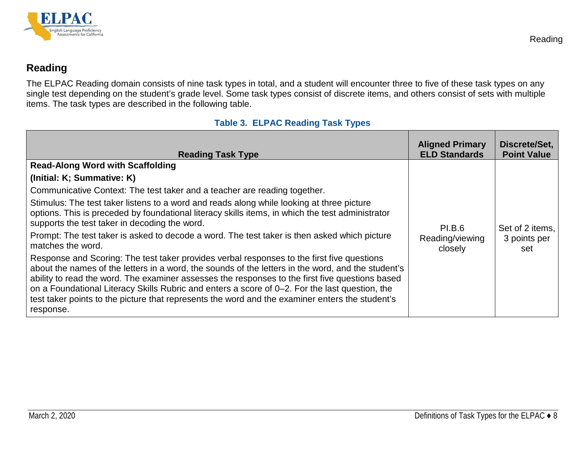

## **Reading**

The ELPAC Reading domain consists of nine task types in total, and a student will encounter three to five of these task types on any single test depending on the student's grade level. Some task types consist of discrete items, and others consist of sets with multiple items. The task types are described in the following table.

#### **Table 3. ELPAC Reading Task Types**

<span id="page-9-2"></span><span id="page-9-1"></span><span id="page-9-0"></span>

| <b>Reading Task Type</b>                                                                                                                                                                                                                                                                                                                                                                                                                                                                                                                                                                                                                                                                                                                                                                                                                                                                                                                                                                                                                           | <b>Aligned Primary</b><br><b>ELD Standards</b> | Discrete/Set,<br><b>Point Value</b>    |
|----------------------------------------------------------------------------------------------------------------------------------------------------------------------------------------------------------------------------------------------------------------------------------------------------------------------------------------------------------------------------------------------------------------------------------------------------------------------------------------------------------------------------------------------------------------------------------------------------------------------------------------------------------------------------------------------------------------------------------------------------------------------------------------------------------------------------------------------------------------------------------------------------------------------------------------------------------------------------------------------------------------------------------------------------|------------------------------------------------|----------------------------------------|
| <b>Read-Along Word with Scaffolding</b><br>(Initial: K; Summative: K)<br>Communicative Context: The test taker and a teacher are reading together.<br>Stimulus: The test taker listens to a word and reads along while looking at three picture<br>options. This is preceded by foundational literacy skills items, in which the test administrator<br>supports the test taker in decoding the word.<br>Prompt: The test taker is asked to decode a word. The test taker is then asked which picture<br>matches the word.<br>Response and Scoring: The test taker provides verbal responses to the first five questions<br>about the names of the letters in a word, the sounds of the letters in the word, and the student's<br>ability to read the word. The examiner assesses the responses to the first five questions based<br>on a Foundational Literacy Skills Rubric and enters a score of 0-2. For the last question, the<br>test taker points to the picture that represents the word and the examiner enters the student's<br>response. | <b>PI.B.6</b><br>Reading/viewing<br>closely    | Set of 2 items.<br>3 points per<br>set |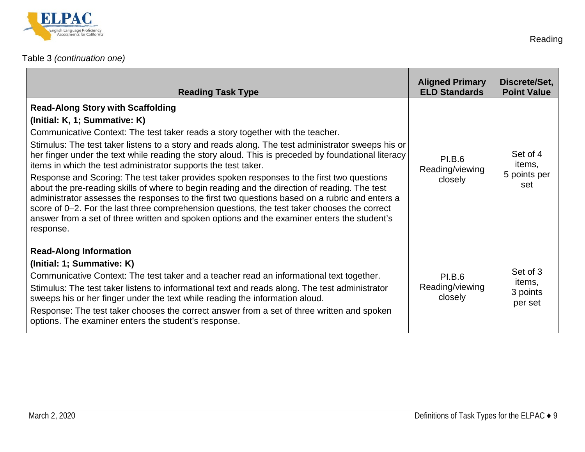

| <b>Reading Task Type</b>                                                                                                                                                                                                                                                                                                                                                                                                                                                                                                                                                                                                                                                                                                                                                                                                                                                                                                                             | <b>Aligned Primary</b><br><b>ELD Standards</b> | Discrete/Set,<br><b>Point Value</b>       |
|------------------------------------------------------------------------------------------------------------------------------------------------------------------------------------------------------------------------------------------------------------------------------------------------------------------------------------------------------------------------------------------------------------------------------------------------------------------------------------------------------------------------------------------------------------------------------------------------------------------------------------------------------------------------------------------------------------------------------------------------------------------------------------------------------------------------------------------------------------------------------------------------------------------------------------------------------|------------------------------------------------|-------------------------------------------|
| <b>Read-Along Story with Scaffolding</b><br>(Initial: K, 1; Summative: K)<br>Communicative Context: The test taker reads a story together with the teacher.<br>Stimulus: The test taker listens to a story and reads along. The test administrator sweeps his or<br>her finger under the text while reading the story aloud. This is preceded by foundational literacy<br>items in which the test administrator supports the test taker.<br>Response and Scoring: The test taker provides spoken responses to the first two questions<br>about the pre-reading skills of where to begin reading and the direction of reading. The test<br>administrator assesses the responses to the first two questions based on a rubric and enters a<br>score of 0-2. For the last three comprehension questions, the test taker chooses the correct<br>answer from a set of three written and spoken options and the examiner enters the student's<br>response. | <b>PI.B.6</b><br>Reading/viewing<br>closely    | Set of 4<br>items,<br>5 points per<br>set |
| <b>Read-Along Information</b><br>(Initial: 1; Summative: K)<br>Communicative Context: The test taker and a teacher read an informational text together.<br>Stimulus: The test taker listens to informational text and reads along. The test administrator<br>sweeps his or her finger under the text while reading the information aloud.<br>Response: The test taker chooses the correct answer from a set of three written and spoken<br>options. The examiner enters the student's response.                                                                                                                                                                                                                                                                                                                                                                                                                                                      | <b>PI.B.6</b><br>Reading/viewing<br>closely    | Set of 3<br>items,<br>3 points<br>per set |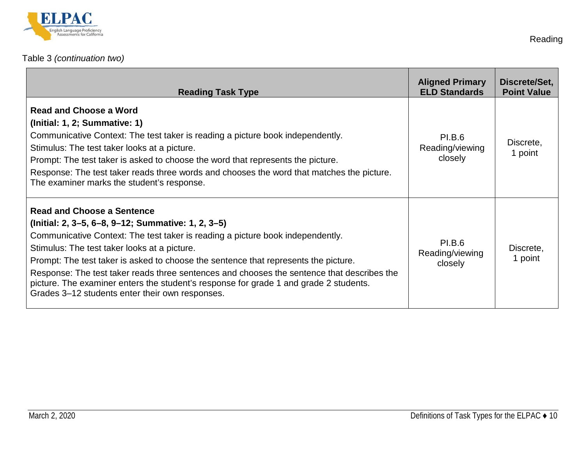

## [Table 3](#page-9-2) *(continuation two)*

| <b>Reading Task Type</b>                                                                                                                                                                                                                                                                                                                                                                                                                                                                                                                                   | <b>Aligned Primary</b><br><b>ELD Standards</b> | Discrete/Set,<br><b>Point Value</b> |
|------------------------------------------------------------------------------------------------------------------------------------------------------------------------------------------------------------------------------------------------------------------------------------------------------------------------------------------------------------------------------------------------------------------------------------------------------------------------------------------------------------------------------------------------------------|------------------------------------------------|-------------------------------------|
| <b>Read and Choose a Word</b><br>(Initial: 1, 2; Summative: 1)<br>Communicative Context: The test taker is reading a picture book independently.<br>Stimulus: The test taker looks at a picture.<br>Prompt: The test taker is asked to choose the word that represents the picture.<br>Response: The test taker reads three words and chooses the word that matches the picture.<br>The examiner marks the student's response.                                                                                                                             | <b>PI.B.6</b><br>Reading/viewing<br>closely    | Discrete,<br>1 point                |
| <b>Read and Choose a Sentence</b><br>(Initial: 2, 3–5, 6–8, 9–12; Summative: 1, 2, 3–5)<br>Communicative Context: The test taker is reading a picture book independently.<br>Stimulus: The test taker looks at a picture.<br>Prompt: The test taker is asked to choose the sentence that represents the picture.<br>Response: The test taker reads three sentences and chooses the sentence that describes the<br>picture. The examiner enters the student's response for grade 1 and grade 2 students.<br>Grades 3-12 students enter their own responses. | <b>PI.B.6</b><br>Reading/viewing<br>closely    | Discrete,<br>1 point                |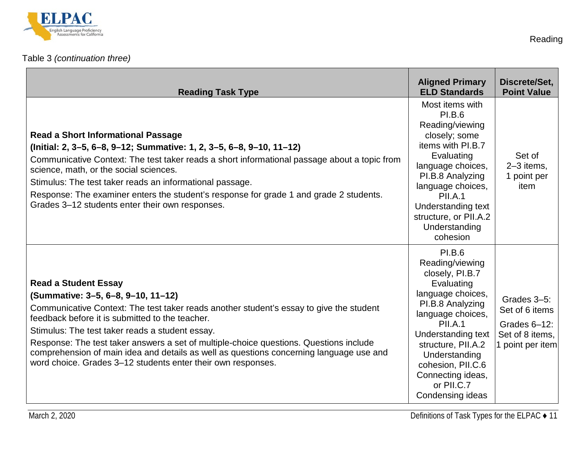

## [Table 3](#page-9-2) *(continuation three)*

| <b>Reading Task Type</b>                                                                                                                                                                                                                                                                                                                                                                                                                                                                                                | <b>Aligned Primary</b><br><b>ELD Standards</b>                                                                                                                                                                                                                                      | Discrete/Set,<br><b>Point Value</b>                                                  |
|-------------------------------------------------------------------------------------------------------------------------------------------------------------------------------------------------------------------------------------------------------------------------------------------------------------------------------------------------------------------------------------------------------------------------------------------------------------------------------------------------------------------------|-------------------------------------------------------------------------------------------------------------------------------------------------------------------------------------------------------------------------------------------------------------------------------------|--------------------------------------------------------------------------------------|
| <b>Read a Short Informational Passage</b><br>(Initial: 2, 3-5, 6-8, 9-12; Summative: 1, 2, 3-5, 6-8, 9-10, 11-12)<br>Communicative Context: The test taker reads a short informational passage about a topic from<br>science, math, or the social sciences.<br>Stimulus: The test taker reads an informational passage.<br>Response: The examiner enters the student's response for grade 1 and grade 2 students.<br>Grades 3-12 students enter their own responses.                                                    | Most items with<br><b>PI.B.6</b><br>Reading/viewing<br>closely; some<br>items with PI.B.7<br>Evaluating<br>language choices,<br>PI.B.8 Analyzing<br>language choices,<br>PII.A.1<br><b>Understanding text</b><br>structure, or PII.A.2<br>Understanding<br>cohesion                 | Set of<br>2-3 items,<br>1 point per<br>item                                          |
| <b>Read a Student Essay</b><br>(Summative: 3-5, 6-8, 9-10, 11-12)<br>Communicative Context: The test taker reads another student's essay to give the student<br>feedback before it is submitted to the teacher.<br>Stimulus: The test taker reads a student essay.<br>Response: The test taker answers a set of multiple-choice questions. Questions include<br>comprehension of main idea and details as well as questions concerning language use and<br>word choice. Grades 3–12 students enter their own responses. | <b>PI.B.6</b><br>Reading/viewing<br>closely, PI.B.7<br>Evaluating<br>language choices,<br>PI.B.8 Analyzing<br>language choices,<br>PII.A.1<br>Understanding text<br>structure, PII.A.2<br>Understanding<br>cohesion, PII.C.6<br>Connecting ideas,<br>or PII.C.7<br>Condensing ideas | Grades 3-5:<br>Set of 6 items<br>Grades 6-12:<br>Set of 8 items,<br>1 point per item |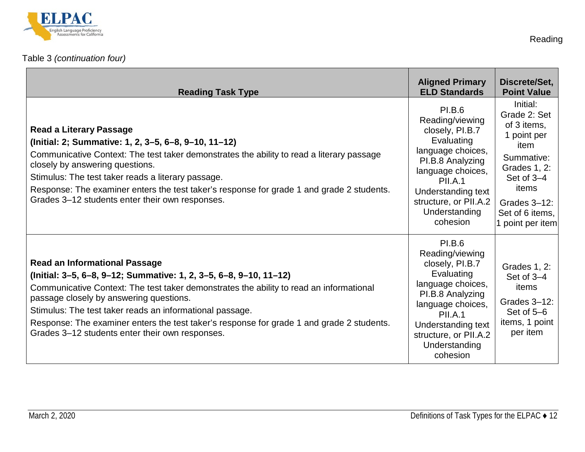

| <b>Reading Task Type</b>                                                                                                                                                                                                                                                                                                                                                                                                                                    | <b>Aligned Primary</b><br><b>ELD Standards</b>                                                                                                                                                                         | Discrete/Set,<br><b>Point Value</b>                                                                                                                                        |
|-------------------------------------------------------------------------------------------------------------------------------------------------------------------------------------------------------------------------------------------------------------------------------------------------------------------------------------------------------------------------------------------------------------------------------------------------------------|------------------------------------------------------------------------------------------------------------------------------------------------------------------------------------------------------------------------|----------------------------------------------------------------------------------------------------------------------------------------------------------------------------|
| <b>Read a Literary Passage</b><br>(Initial: 2; Summative: 1, 2, 3-5, 6-8, 9-10, 11-12)<br>Communicative Context: The test taker demonstrates the ability to read a literary passage<br>closely by answering questions.<br>Stimulus: The test taker reads a literary passage.<br>Response: The examiner enters the test taker's response for grade 1 and grade 2 students.<br>Grades 3-12 students enter their own responses.                                | <b>PI.B.6</b><br>Reading/viewing<br>closely, PI.B.7<br>Evaluating<br>language choices,<br>PI.B.8 Analyzing<br>language choices,<br>PII.A.1<br>Understanding text<br>structure, or PII.A.2<br>Understanding<br>cohesion | Initial:<br>Grade 2: Set<br>of 3 items,<br>1 point per<br>item<br>Summative:<br>Grades 1, 2:<br>Set of 3-4<br>items<br>Grades 3-12:<br>Set of 6 items,<br>1 point per item |
| <b>Read an Informational Passage</b><br>(Initial: 3-5, 6-8, 9-12; Summative: 1, 2, 3-5, 6-8, 9-10, 11-12)<br>Communicative Context: The test taker demonstrates the ability to read an informational<br>passage closely by answering questions.<br>Stimulus: The test taker reads an informational passage.<br>Response: The examiner enters the test taker's response for grade 1 and grade 2 students.<br>Grades 3-12 students enter their own responses. | <b>PI.B.6</b><br>Reading/viewing<br>closely, PI.B.7<br>Evaluating<br>language choices,<br>PI.B.8 Analyzing<br>language choices,<br>PII.A.1<br>Understanding text<br>structure, or PII.A.2<br>Understanding<br>cohesion | Grades 1, 2:<br>Set of 3-4<br>items<br>Grades 3-12:<br>Set of 5-6<br>items, 1 point<br>per item                                                                            |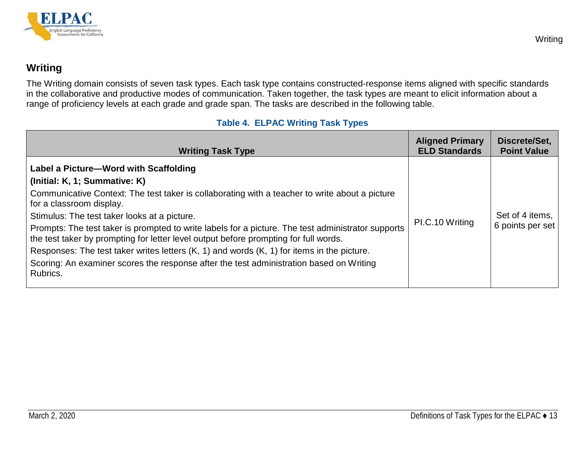

## **Writing**

The Writing domain consists of seven task types. Each task type contains constructed-response items aligned with specific standards in the collaborative and productive modes of communication. Taken together, the task types are meant to elicit information about a range of proficiency levels at each grade and grade span. The tasks are described in the following table.

#### **Table 4. ELPAC Writing Task Types**

<span id="page-14-2"></span><span id="page-14-1"></span><span id="page-14-0"></span>

| Label a Picture-Word with Scaffolding<br>(Initial: K, 1; Summative: K)<br>Communicative Context: The test taker is collaborating with a teacher to write about a picture<br>for a classroom display.<br>Stimulus: The test taker looks at a picture.<br>PI.C.10 Writing<br>Prompts: The test taker is prompted to write labels for a picture. The test administrator supports<br>the test taker by prompting for letter level output before prompting for full words.<br>Responses: The test taker writes letters $(K, 1)$ and words $(K, 1)$ for items in the picture.<br>Scoring: An examiner scores the response after the test administration based on Writing<br>Rubrics. | Set of 4 items.<br>6 points per set |
|--------------------------------------------------------------------------------------------------------------------------------------------------------------------------------------------------------------------------------------------------------------------------------------------------------------------------------------------------------------------------------------------------------------------------------------------------------------------------------------------------------------------------------------------------------------------------------------------------------------------------------------------------------------------------------|-------------------------------------|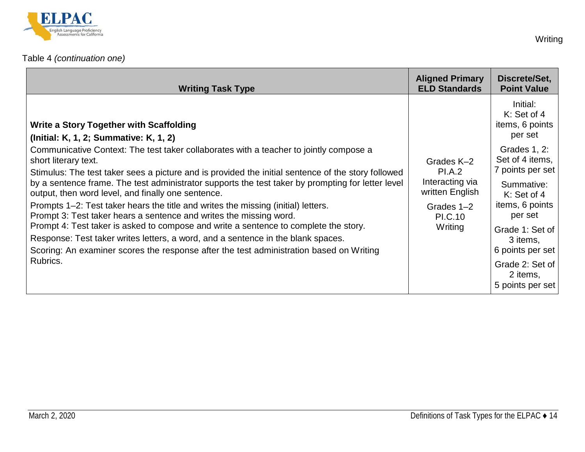

| <b>Writing Task Type</b>                                                                                                                                                                                                                                                                                                                                                                                                                                                                                                                                                                                                                                                                                                                                                                                                      | <b>Aligned Primary</b><br><b>ELD Standards</b>                                                        | Discrete/Set,<br><b>Point Value</b>                                                                                                                                                                                  |
|-------------------------------------------------------------------------------------------------------------------------------------------------------------------------------------------------------------------------------------------------------------------------------------------------------------------------------------------------------------------------------------------------------------------------------------------------------------------------------------------------------------------------------------------------------------------------------------------------------------------------------------------------------------------------------------------------------------------------------------------------------------------------------------------------------------------------------|-------------------------------------------------------------------------------------------------------|----------------------------------------------------------------------------------------------------------------------------------------------------------------------------------------------------------------------|
| <b>Write a Story Together with Scaffolding</b><br>(Initial: K, 1, 2; Summative: K, 1, 2)                                                                                                                                                                                                                                                                                                                                                                                                                                                                                                                                                                                                                                                                                                                                      | Grades K-2<br><b>PI.A.2</b><br>Interacting via<br>written English<br>Grades 1-2<br>PI.C.10<br>Writing | Initial:<br>K: Set of 4<br>items, 6 points<br>per set                                                                                                                                                                |
| Communicative Context: The test taker collaborates with a teacher to jointly compose a<br>short literary text.<br>Stimulus: The test taker sees a picture and is provided the initial sentence of the story followed<br>by a sentence frame. The test administrator supports the test taker by prompting for letter level<br>output, then word level, and finally one sentence.<br>Prompts 1–2: Test taker hears the title and writes the missing (initial) letters.<br>Prompt 3: Test taker hears a sentence and writes the missing word.<br>Prompt 4: Test taker is asked to compose and write a sentence to complete the story.<br>Response: Test taker writes letters, a word, and a sentence in the blank spaces.<br>Scoring: An examiner scores the response after the test administration based on Writing<br>Rubrics. |                                                                                                       | Grades 1, 2:<br>Set of 4 items,<br>7 points per set<br>Summative:<br>K: Set of 4<br>items, 6 points<br>per set<br>Grade 1: Set of<br>3 items,<br>6 points per set<br>Grade 2: Set of<br>2 items,<br>5 points per set |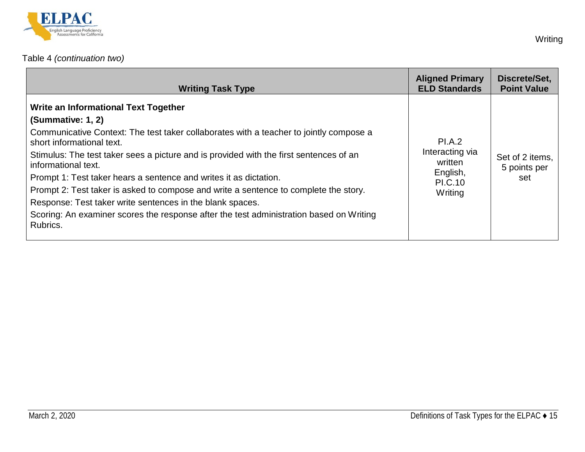

## [Table 4](#page-14-2) *(continuation two)*

| <b>Writing Task Type</b>                                                                                                                                                                                                                                                                                                                                                                                                                                                                                                                                                                                                           | <b>Aligned Primary</b><br><b>ELD Standards</b>                                       | Discrete/Set,<br><b>Point Value</b>    |
|------------------------------------------------------------------------------------------------------------------------------------------------------------------------------------------------------------------------------------------------------------------------------------------------------------------------------------------------------------------------------------------------------------------------------------------------------------------------------------------------------------------------------------------------------------------------------------------------------------------------------------|--------------------------------------------------------------------------------------|----------------------------------------|
| Write an Informational Text Together<br>(Summative: 1, 2)<br>Communicative Context: The test taker collaborates with a teacher to jointly compose a<br>short informational text.<br>Stimulus: The test taker sees a picture and is provided with the first sentences of an<br>informational text.<br>Prompt 1: Test taker hears a sentence and writes it as dictation.<br>Prompt 2: Test taker is asked to compose and write a sentence to complete the story.<br>Response: Test taker write sentences in the blank spaces.<br>Scoring: An examiner scores the response after the test administration based on Writing<br>Rubrics. | <b>PI.A.2</b><br>Interacting via<br>written<br>English,<br><b>PI.C.10</b><br>Writing | Set of 2 items.<br>5 points per<br>set |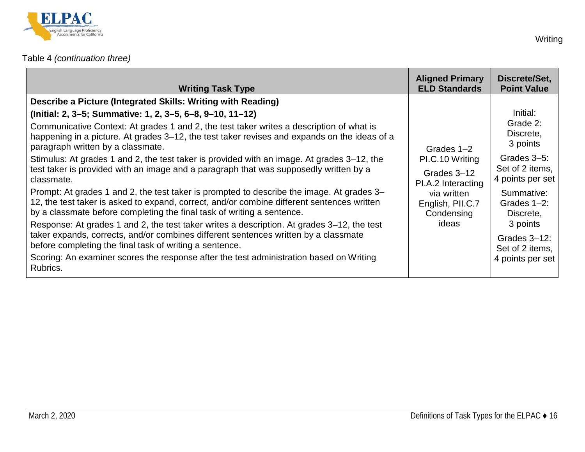

## [Table 4](#page-14-2) *(continuation three)*

| <b>Writing Task Type</b>                                                                                                                                                                                                                                                                                                                                                                                                                                                                                                                                                                                                                                                                                                                                                                                                                                                                                                                                                                                                                                                                                                                                                        | <b>Aligned Primary</b><br><b>ELD Standards</b>                                                                               | Discrete/Set,<br><b>Point Value</b>                                                                                                                                                                                 |
|---------------------------------------------------------------------------------------------------------------------------------------------------------------------------------------------------------------------------------------------------------------------------------------------------------------------------------------------------------------------------------------------------------------------------------------------------------------------------------------------------------------------------------------------------------------------------------------------------------------------------------------------------------------------------------------------------------------------------------------------------------------------------------------------------------------------------------------------------------------------------------------------------------------------------------------------------------------------------------------------------------------------------------------------------------------------------------------------------------------------------------------------------------------------------------|------------------------------------------------------------------------------------------------------------------------------|---------------------------------------------------------------------------------------------------------------------------------------------------------------------------------------------------------------------|
| Describe a Picture (Integrated Skills: Writing with Reading)<br>(Initial: 2, 3–5; Summative: 1, 2, 3–5, 6–8, 9–10, 11–12)<br>Communicative Context: At grades 1 and 2, the test taker writes a description of what is<br>happening in a picture. At grades 3-12, the test taker revises and expands on the ideas of a<br>paragraph written by a classmate.<br>Stimulus: At grades 1 and 2, the test taker is provided with an image. At grades 3–12, the<br>test taker is provided with an image and a paragraph that was supposedly written by a<br>classmate.<br>Prompt: At grades 1 and 2, the test taker is prompted to describe the image. At grades 3-<br>12, the test taker is asked to expand, correct, and/or combine different sentences written<br>by a classmate before completing the final task of writing a sentence.<br>Response: At grades 1 and 2, the test taker writes a description. At grades 3–12, the test<br>taker expands, corrects, and/or combines different sentences written by a classmate<br>before completing the final task of writing a sentence.<br>Scoring: An examiner scores the response after the test administration based on Writing | Grades 1-2<br>PI.C.10 Writing<br>Grades 3-12<br>PI.A.2 Interacting<br>via written<br>English, PII.C.7<br>Condensing<br>ideas | Initial:<br>Grade 2:<br>Discrete,<br>3 points<br>Grades 3-5:<br>Set of 2 items,<br>4 points per set<br>Summative:<br>Grades 1-2:<br>Discrete,<br>3 points<br>Grades $3-12$ :<br>Set of 2 items,<br>4 points per set |
| Rubrics.                                                                                                                                                                                                                                                                                                                                                                                                                                                                                                                                                                                                                                                                                                                                                                                                                                                                                                                                                                                                                                                                                                                                                                        |                                                                                                                              |                                                                                                                                                                                                                     |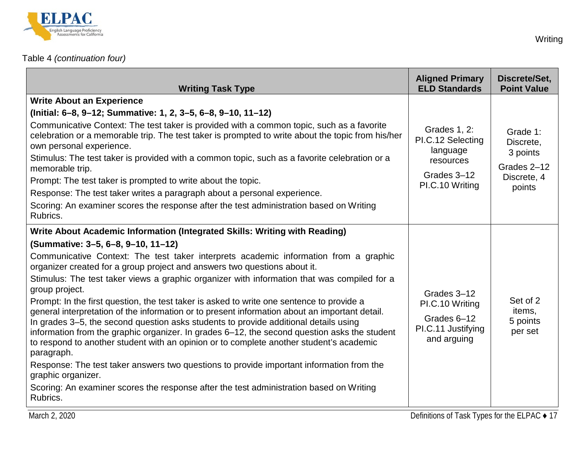

## [Table 4](#page-14-2) *(continuation four)*

| <b>Writing Task Type</b>                                                                                                                                                                                                                                                                                                                                                                                                                                                                                                                                                                                                                                                                                                                                                                                                                                                                                                                                                                                                                                                                                                        | <b>Aligned Primary</b><br><b>ELD Standards</b>                                               | Discrete/Set,<br><b>Point Value</b>                                       |
|---------------------------------------------------------------------------------------------------------------------------------------------------------------------------------------------------------------------------------------------------------------------------------------------------------------------------------------------------------------------------------------------------------------------------------------------------------------------------------------------------------------------------------------------------------------------------------------------------------------------------------------------------------------------------------------------------------------------------------------------------------------------------------------------------------------------------------------------------------------------------------------------------------------------------------------------------------------------------------------------------------------------------------------------------------------------------------------------------------------------------------|----------------------------------------------------------------------------------------------|---------------------------------------------------------------------------|
| <b>Write About an Experience</b><br>(Initial: 6-8, 9-12; Summative: 1, 2, 3-5, 6-8, 9-10, 11-12)<br>Communicative Context: The test taker is provided with a common topic, such as a favorite<br>celebration or a memorable trip. The test taker is prompted to write about the topic from his/her<br>own personal experience.<br>Stimulus: The test taker is provided with a common topic, such as a favorite celebration or a<br>memorable trip.<br>Prompt: The test taker is prompted to write about the topic.                                                                                                                                                                                                                                                                                                                                                                                                                                                                                                                                                                                                              | Grades 1, 2:<br>PI.C.12 Selecting<br>language<br>resources<br>Grades 3-12<br>PI.C.10 Writing | Grade 1:<br>Discrete,<br>3 points<br>Grades 2-12<br>Discrete, 4<br>points |
| Response: The test taker writes a paragraph about a personal experience.<br>Scoring: An examiner scores the response after the test administration based on Writing<br>Rubrics.                                                                                                                                                                                                                                                                                                                                                                                                                                                                                                                                                                                                                                                                                                                                                                                                                                                                                                                                                 |                                                                                              |                                                                           |
| Write About Academic Information (Integrated Skills: Writing with Reading)<br>(Summative: 3-5, 6-8, 9-10, 11-12)<br>Communicative Context: The test taker interprets academic information from a graphic<br>organizer created for a group project and answers two questions about it.<br>Stimulus: The test taker views a graphic organizer with information that was compiled for a<br>group project.<br>Prompt: In the first question, the test taker is asked to write one sentence to provide a<br>general interpretation of the information or to present information about an important detail.<br>In grades 3–5, the second question asks students to provide additional details using<br>information from the graphic organizer. In grades 6–12, the second question asks the student<br>to respond to another student with an opinion or to complete another student's academic<br>paragraph.<br>Response: The test taker answers two questions to provide important information from the<br>graphic organizer.<br>Scoring: An examiner scores the response after the test administration based on Writing<br>Rubrics. | Grades 3-12<br>PI.C.10 Writing<br>Grades 6-12<br>PI.C.11 Justifying<br>and arguing           | Set of 2<br>items,<br>5 points<br>per set                                 |